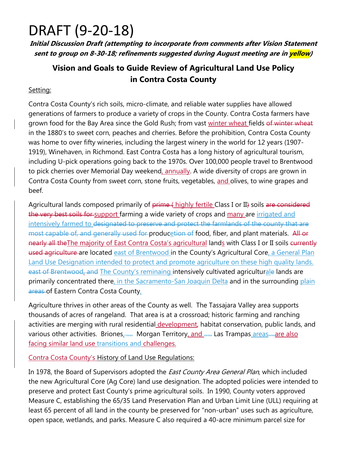## DRAFT (9‐20‐18)

**Initial Discussion Draft (attempting to incorporate from comments after Vision Statement sent to group on 8-30-18; refinements suggested during August meeting are in yellow)** 

### **Vision and Goals to Guide Review of Agricultural Land Use Policy in Contra Costa County**

#### Setting:

Contra Costa County's rich soils, micro-climate, and reliable water supplies have allowed generations of farmers to produce a variety of crops in the County. Contra Costa farmers have grown food for the Bay Area since the Gold Rush; from vast winter wheat fields of winter wheat in the 1880's to sweet corn, peaches and cherries. Before the prohibition, Contra Costa County was home to over fifty wineries, including the largest winery in the world for 12 years (1907- 1919), Winehaven, in Richmond. East Contra Costa has a long history of agricultural tourism, including U-pick operations going back to the 1970s. Over 100,000 people travel to Brentwood to pick cherries over Memorial Day weekend, annually. A wide diversity of crops are grown in Contra Costa County from sweet corn, stone fruits, vegetables, and olives, to wine grapes and beef.

Agricultural lands composed primarily of prime (highly fertile Class I or II) soils are considered the very best soils for support farming a wide variety of crops and many are irrigated and intensively farmed to designated to preserve and protect the farmlands of the county that are most capable of, and generally used for producetion of food, fiber, and plant materials. All or nearly all the The majority of East Contra Costa's agricultural lands with Class I or II soils currently used agriculture are located east of Brentwood in the County's Agricultural Core, a General Plan Land Use Designation intended to protect and promote agriculture on these high quality lands. east of Brentwood, and The County's reminaing intensively cultivated agriculturale lands are primarily concentrated there, in the Sacramento-San Joaquin Delta and in the surrounding plain areas of Eastern Contra Costa County.

Agriculture thrives in other areas of the County as well. The Tassajara Valley area supports thousands of acres of rangeland. That area is at a crossroad; historic farming and ranching activities are merging with rural residential development, habitat conservation, public lands, and various other activities. Briones<sub>i</sub> ..... Morgan Territory, and ..... Las Trampas areas .... are also facing similar land use transitions and challenges.

#### Contra Costa County's History of Land Use Regulations:

In 1978, the Board of Supervisors adopted the *East County Area General Plan*, which included the new Agricultural Core (Ag Core) land use designation. The adopted policies were intended to preserve and protect East County's prime agricultural soils. In 1990, County voters approved Measure C, establishing the 65/35 Land Preservation Plan and Urban Limit Line (ULL) requiring at least 65 percent of all land in the county be preserved for "non-urban" uses such as agriculture, open space, wetlands, and parks. Measure C also required a 40-acre minimum parcel size for